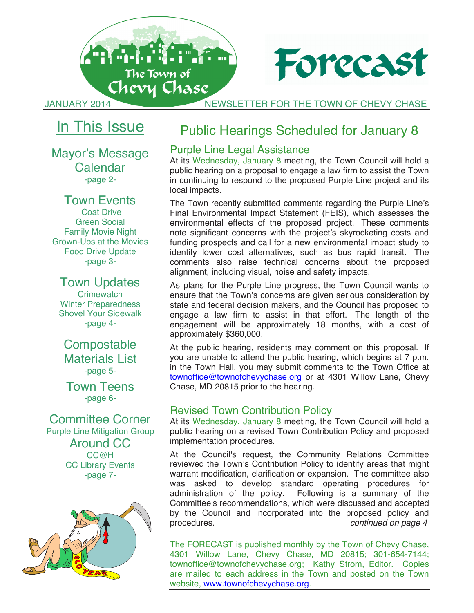

**JANUARY 2014** NEWSLETTER FOR THE TOWN OF CHEVY CHASE

Forecast

## In This Issue

#### Mayor's Message **Calendar** -page 2-

#### Town Events

 Coat Drive Green Social Family Movie Night Grown-Ups at the Movies Food Drive Update -page 3-

#### Town Updates

**Crimewatch** Winter Preparedness Shovel Your Sidewalk -page 4-

**Compostable** Materials List -page 5-

Town Teens -page 6-

Committee Corner Purple Line Mitigation Group Around CC CC@H CC Library Events -page 7-



## Public Hearings Scheduled for January 8

#### Purple Line Legal Assistance

At its Wednesday, January 8 meeting, the Town Council will hold a public hearing on a proposal to engage a law firm to assist the Town in continuing to respond to the proposed Purple Line project and its local impacts.

The Town recently submitted comments regarding the Purple Line's Final Environmental Impact Statement (FEIS), which assesses the environmental effects of the proposed project. These comments note significant concerns with the project's skyrocketing costs and funding prospects and call for a new environmental impact study to identify lower cost alternatives, such as bus rapid transit. The comments also raise technical concerns about the proposed alignment, including visual, noise and safety impacts.

As plans for the Purple Line progress, the Town Council wants to ensure that the Town's concerns are given serious consideration by state and federal decision makers, and the Council has proposed to engage a law firm to assist in that effort. The length of the engagement will be approximately 18 months, with a cost of approximately \$360,000.

At the public hearing, residents may comment on this proposal. If you are unable to attend the public hearing, which begins at 7 p.m. in the Town Hall, you may submit comments to the Town Office at townoffice@townofchevychase.org or at 4301 Willow Lane, Chevy Chase, MD 20815 prior to the hearing.

#### Revised Town Contribution Policy

At its Wednesday, January 8 meeting, the Town Council will hold a public hearing on a revised Town Contribution Policy and proposed implementation procedures.

At the Council's request, the Community Relations Committee reviewed the Town's Contribution Policy to identify areas that might warrant modification, clarification or expansion. The committee also was asked to develop standard operating procedures for administration of the policy. Following is a summary of the Following is a summary of the Committee's recommendations, which were discussed and accepted by the Council and incorporated into the proposed policy and procedures.<br>continued on page 4 continued on page 4

**1** website, www.townofchevychase.org.The FORECAST is published monthly by the Town of Chevy Chase, 4301 Willow Lane, Chevy Chase, MD 20815; 301-654-7144; townoffice@townofchevychase.org; Kathy Strom, Editor. Copies are mailed to each address in the Town and posted on the Town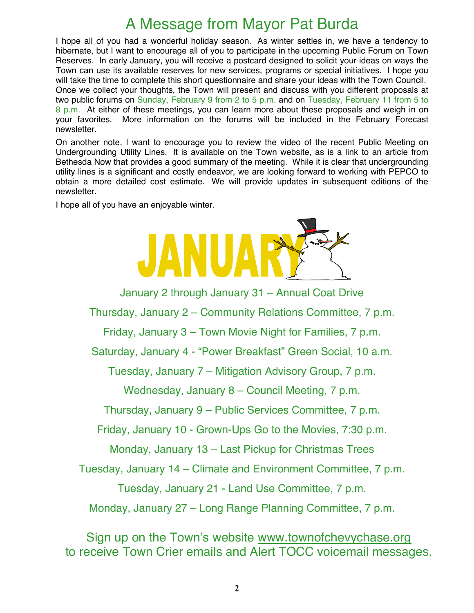## A Message from Mayor Pat Burda

I hope all of you had a wonderful holiday season. As winter settles in, we have a tendency to hibernate, but I want to encourage all of you to participate in the upcoming Public Forum on Town Reserves. In early January, you will receive a postcard designed to solicit your ideas on ways the Town can use its available reserves for new services, programs or special initiatives. I hope you will take the time to complete this short questionnaire and share your ideas with the Town Council. Once we collect your thoughts, the Town will present and discuss with you different proposals at two public forums on Sunday, February 9 from 2 to 5 p.m. and on Tuesday, February 11 from 5 to 8 p.m. At either of these meetings, you can learn more about these proposals and weigh in on your favorites. More information on the forums will be included in the February Forecast newsletter.

On another note, I want to encourage you to review the video of the recent Public Meeting on Undergrounding Utility Lines. It is available on the Town website, as is a link to an article from Bethesda Now that provides a good summary of the meeting. While it is clear that undergrounding utility lines is a significant and costly endeavor, we are looking forward to working with PEPCO to obtain a more detailed cost estimate. We will provide updates in subsequent editions of the newsletter.

I hope all of you have an enjoyable winter.



January 2 through January 31 – Annual Coat Drive

Thursday, January 2 – Community Relations Committee, 7 p.m.

Friday, January 3 – Town Movie Night for Families, 7 p.m.

Saturday, January 4 - "Power Breakfast" Green Social, 10 a.m.

Tuesday, January 7 – Mitigation Advisory Group, 7 p.m.

Wednesday, January 8 – Council Meeting, 7 p.m.

Thursday, January 9 – Public Services Committee, 7 p.m.

Friday, January 10 - Grown-Ups Go to the Movies, 7:30 p.m.

Monday, January 13 – Last Pickup for Christmas Trees

Tuesday, January 14 – Climate and Environment Committee, 7 p.m.

Tuesday, January 21 - Land Use Committee, 7 p.m.

Monday, January 27 – Long Range Planning Committee, 7 p.m.

Sign up on the Town's website www.townofchevychase.org to receive Town Crier emails and Alert TOCC voicemail messages.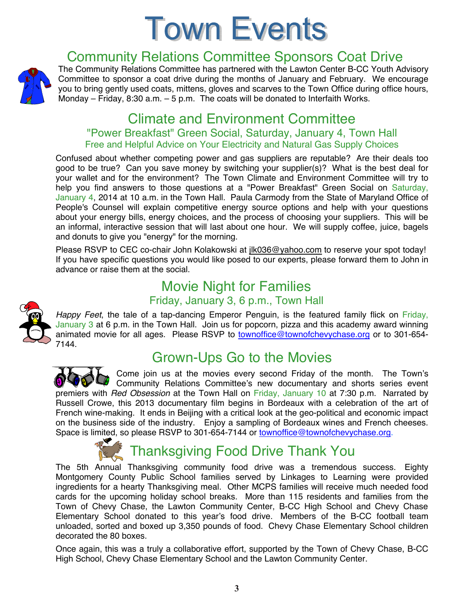## **Town Events**



## Community Relations Committee Sponsors Coat Drive

The Community Relations Committee has partnered with the Lawton Center B-CC Youth Advisory Committee to sponsor a coat drive during the months of January and February. We encourage you to bring gently used coats, mittens, gloves and scarves to the Town Office during office hours, Monday – Friday, 8:30 a.m. – 5 p.m. The coats will be donated to Interfaith Works.

## Climate and Environment Committee

#### "Power Breakfast" Green Social, Saturday, January 4, Town Hall Free and Helpful Advice on Your Electricity and Natural Gas Supply Choices

Confused about whether competing power and gas suppliers are reputable? Are their deals too good to be true? Can you save money by switching your supplier(s)? What is the best deal for your wallet and for the environment? The Town Climate and Environment Committee will try to help you find answers to those questions at a "Power Breakfast" Green Social on Saturday, January 4, 2014 at 10 a.m. in the Town Hall. Paula Carmody from the State of Maryland Office of People's Counsel will explain competitive energy source options and help with your questions about your energy bills, energy choices, and the process of choosing your suppliers. This will be an informal, interactive session that will last about one hour. We will supply coffee, juice, bagels and donuts to give you "energy" for the morning.

Please RSVP to CEC co-chair John Kolakowski at jlk036@yahoo.com to reserve your spot today! If you have specific questions you would like posed to our experts, please forward them to John in advance or raise them at the social.

#### Movie Night for Families Friday, January 3, 6 p.m., Town Hall



*Happy Feet*, the tale of a tap-dancing Emperor Penguin, is the featured family flick on Friday, January 3 at 6 p.m. in the Town Hall. Join us for popcorn, pizza and this academy award winning animated movie for all ages. Please RSVP to **townoffice@townofchevychase.org** or to 301-654-7144.

## Grown-Ups Go to the Movies

Come join us at the movies every second Friday of the month. The Town's Community Relations Committee's new documentary and shorts series event premiers with *Red Obsession* at the Town Hall on Friday, January 10 at 7:30 p.m. Narrated by Russell Crowe, this 2013 documentary film begins in Bordeaux with a celebration of the art of French wine-making. It ends in Beijing with a critical look at the geo-political and economic impact on the business side of the industry. Enjoy a sampling of Bordeaux wines and French cheeses. Space is limited, so please RSVP to 301-654-7144 or townoffice@townofchevychase.org.



## Thanksgiving Food Drive Thank You

The 5th Annual Thanksgiving community food drive was a tremendous success. Eighty Montgomery County Public School families served by Linkages to Learning were provided ingredients for a hearty Thanksgiving meal. Other MCPS families will receive much needed food cards for the upcoming holiday school breaks. More than 115 residents and families from the Town of Chevy Chase, the Lawton Community Center, B-CC High School and Chevy Chase Elementary School donated to this year's food drive. Members of the B-CC football team unloaded, sorted and boxed up 3,350 pounds of food. Chevy Chase Elementary School children decorated the 80 boxes.

Once again, this was a truly a collaborative effort, supported by the Town of Chevy Chase, B-CC High School, Chevy Chase Elementary School and the Lawton Community Center.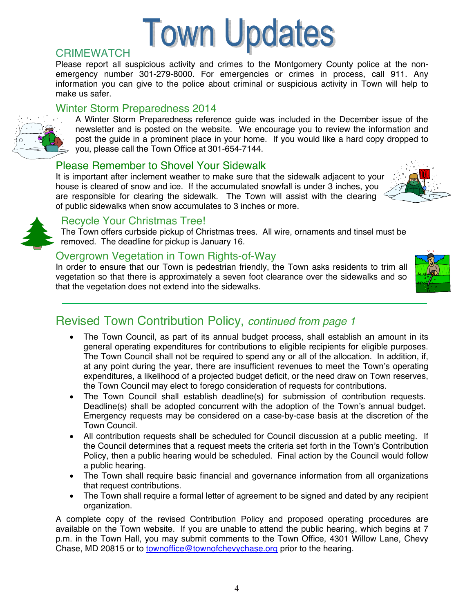# **Town Updates**

#### **CRIMEWATCH**

Please report all suspicious activity and crimes to the Montgomery County police at the nonemergency number 301-279-8000. For emergencies or crimes in process, call 911. Any information you can give to the police about criminal or suspicious activity in Town will help to make us safer.

#### Winter Storm Preparedness 2014



A Winter Storm Preparedness reference guide was included in the December issue of the newsletter and is posted on the website. We encourage you to review the information and post the guide in a prominent place in your home. If you would like a hard copy dropped to you, please call the Town Office at 301-654-7144.

#### Please Remember to Shovel Your Sidewalk

It is important after inclement weather to make sure that the sidewalk adjacent to your house is cleared of snow and ice. If the accumulated snowfall is under 3 inches, you are responsible for clearing the sidewalk. The Town will assist with the clearing of public sidewalks when snow accumulates to 3 inches or more.





#### Recycle Your Christmas Tree!

The Town offers curbside pickup of Christmas trees. All wire, ornaments and tinsel must be removed. The deadline for pickup is January 16.

#### Overgrown Vegetation in Town Rights-of-Way

In order to ensure that our Town is pedestrian friendly, the Town asks residents to trim all vegetation so that there is approximately a seven foot clearance over the sidewalks and so that the vegetation does not extend into the sidewalks.



## Revised Town Contribution Policy, *continued from page 1*

- The Town Council, as part of its annual budget process, shall establish an amount in its general operating expenditures for contributions to eligible recipients for eligible purposes. The Town Council shall not be required to spend any or all of the allocation. In addition, if, at any point during the year, there are insufficient revenues to meet the Town's operating expenditures, a likelihood of a projected budget deficit, or the need draw on Town reserves, the Town Council may elect to forego consideration of requests for contributions.
- The Town Council shall establish deadline(s) for submission of contribution requests. Deadline(s) shall be adopted concurrent with the adoption of the Town's annual budget. Emergency requests may be considered on a case-by-case basis at the discretion of the Town Council.
- All contribution requests shall be scheduled for Council discussion at a public meeting. If the Council determines that a request meets the criteria set forth in the Town's Contribution Policy, then a public hearing would be scheduled. Final action by the Council would follow a public hearing.
- The Town shall require basic financial and governance information from all organizations that request contributions.
- The Town shall require a formal letter of agreement to be signed and dated by any recipient organization.

A complete copy of the revised Contribution Policy and proposed operating procedures are available on the Town website. If you are unable to attend the public hearing, which begins at 7 p.m. in the Town Hall, you may submit comments to the Town Office, 4301 Willow Lane, Chevy Chase, MD 20815 or to townoffice@townofchevychase.org prior to the hearing.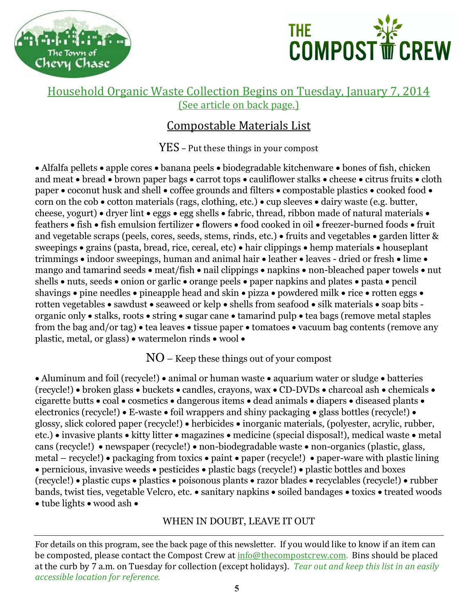



#### Household Organic Waste Collection Begins on Tuesday, January 7, 2014 (See article on back page.)

#### Compostable Materials List

 $YES - Put$  these things in your compost

• Alfalfa pellets • apple cores • banana peels • biodegradable kitchenware • bones of fish, chicken and meat • bread • brown paper bags • carrot tops • cauliflower stalks • cheese • citrus fruits • cloth paper  $\bullet$  coconut husk and shell  $\bullet$  coffee grounds and filters  $\bullet$  compostable plastics  $\bullet$  cooked food  $\bullet$ corn on the cob  $\bullet$  cotton materials (rags, clothing, etc.)  $\bullet$  cup sleeves  $\bullet$  dairy waste (e.g. butter, cheese, yogurt) • dryer lint • eggs • egg shells • fabric, thread, ribbon made of natural materials • feathers • fish • fish emulsion fertilizer • flowers • food cooked in oil • freezer-burned foods • fruit and vegetable scraps (peels, cores, seeds, stems, rinds, etc.) • fruits and vegetables • garden litter  $\&$ sweepings • grains (pasta, bread, rice, cereal, etc) • hair clippings • hemp materials • houseplant trimmings  $\bullet$  indoor sweepings, human and animal hair  $\bullet$  leather  $\bullet$  leaves - dried or fresh  $\bullet$  lime  $\bullet$ mango and tamarind seeds  $\bullet$  meat/fish  $\bullet$  nail clippings  $\bullet$  napkins  $\bullet$  non-bleached paper towels  $\bullet$  nut shells  $\bullet$  nuts, seeds  $\bullet$  onion or garlic  $\bullet$  orange peels  $\bullet$  paper napkins and plates  $\bullet$  pasta  $\bullet$  pencil shavings  $\bullet$  pine needles  $\bullet$  pineapple head and skin  $\bullet$  pizza  $\bullet$  powdered milk  $\bullet$  rice  $\bullet$  rotten eggs  $\bullet$ rotten vegetables  $\bullet$  sawdust  $\bullet$  seaweed or kelp  $\bullet$  shells from seafood  $\bullet$  silk materials  $\bullet$  soap bits organic only • stalks, roots • string • sugar cane • tamarind pulp • tea bags (remove metal staples from the bag and/or tag)  $\bullet$  tea leaves  $\bullet$  tissue paper  $\bullet$  tomatoes  $\bullet$  vacuum bag contents (remove any plastic, metal, or glass)  $\bullet$  watermelon rinds  $\bullet$  wool  $\bullet$ 

NO – Keep these things out of your compost

• Aluminum and foil (recycle!) • animal or human waste • aquarium water or sludge • batteries (recycle!) • broken glass • buckets • candles, crayons, wax • CD-DVDs • charcoal ash • chemicals • cigarette butts  $\bullet$  coal  $\bullet$  cosmetics  $\bullet$  dangerous items  $\bullet$  dead animals  $\bullet$  diapers  $\bullet$  diseased plants  $\bullet$ electronics (recycle!)  $\bullet$  E-waste  $\bullet$  foil wrappers and shiny packaging  $\bullet$  glass bottles (recycle!)  $\bullet$ glossy, slick colored paper (recycle!) • herbicides • inorganic materials, (polyester, acrylic, rubber, etc.) • invasive plants • kitty litter • magazines • medicine (special disposal!), medical waste • metal cans (recycle!) • newspaper (recycle!) • non-biodegradable waste • non-organics (plastic, glass, metal – recycle!) • packaging from toxics • paint • paper (recycle!) • paper-ware with plastic lining  $\bullet$  pernicious, invasive weeds  $\bullet$  pesticides  $\bullet$  plastic bags (recycle!)  $\bullet$  plastic bottles and boxes (recycle!) plastic cups plastics poisonous plants razor blades recyclables (recycle!) rubber bands, twist ties, vegetable Velcro, etc. • sanitary napkins • soiled bandages • toxics • treated woods • tube lights • wood ash •

#### WHEN IN DOUBT, LEAVE IT OUT

For details on this program, see the back page of this newsletter. If you would like to know if an item can be composted, please contact the Compost Crew at info@thecompostcrew.com. Bins should be placed at the curb by 7 a.m. on Tuesday for collection (except holidays). *Tear out and keep this list in an easily accessible location for reference.*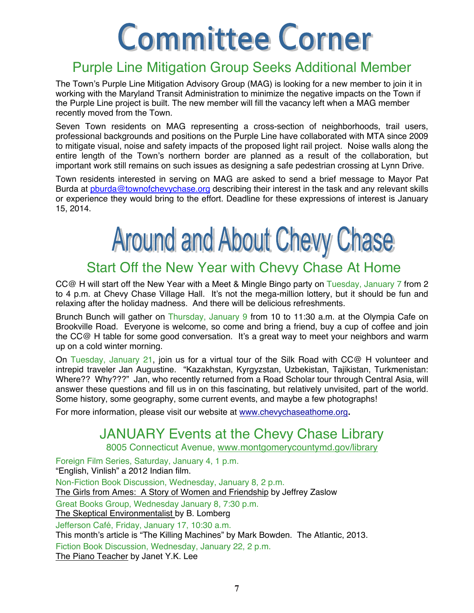# **Committee Corner**

## Purple Line Mitigation Group Seeks Additional Member

The Town's Purple Line Mitigation Advisory Group (MAG) is looking for a new member to join it in working with the Maryland Transit Administration to minimize the negative impacts on the Town if the Purple Line project is built. The new member will fill the vacancy left when a MAG member recently moved from the Town.

Seven Town residents on MAG representing a cross-section of neighborhoods, trail users, professional backgrounds and positions on the Purple Line have collaborated with MTA since 2009 to mitigate visual, noise and safety impacts of the proposed light rail project. Noise walls along the entire length of the Town's northern border are planned as a result of the collaboration, but important work still remains on such issues as designing a safe pedestrian crossing at Lynn Drive.

Town residents interested in serving on MAG are asked to send a brief message to Mayor Pat Burda at pburda@townofchevychase.org describing their interest in the task and any relevant skills or experience they would bring to the effort. Deadline for these expressions of interest is January 15, 2014.

## **Around and About Chevy Chase**

## Start Off the New Year with Chevy Chase At Home

CC@ H will start off the New Year with a Meet & Mingle Bingo party on Tuesday, January 7 from 2 to 4 p.m. at Chevy Chase Village Hall. It's not the mega-million lottery, but it should be fun and relaxing after the holiday madness. And there will be delicious refreshments.

Brunch Bunch will gather on Thursday, January 9 from 10 to 11:30 a.m. at the Olympia Cafe on Brookville Road. Everyone is welcome, so come and bring a friend, buy a cup of coffee and join the CC@ H table for some good conversation. It's a great way to meet your neighbors and warm up on a cold winter morning.

On Tuesday, January 21, join us for a virtual tour of the Silk Road with CC@ H volunteer and intrepid traveler Jan Augustine. "Kazakhstan, Kyrgyzstan, Uzbekistan, Tajikistan, Turkmenistan: Where?? Why???" Jan, who recently returned from a Road Scholar tour through Central Asia, will answer these questions and fill us in on this fascinating, but relatively unvisited, part of the world. Some history, some geography, some current events, and maybe a few photographs!

For more information, please visit our website at www.chevychaseathome.org**.**

## JANUARY Events at the Chevy Chase Library

8005 Connecticut Avenue, www.montgomerycountymd.gov/library

Foreign Film Series, Saturday, January 4, 1 p.m. "English, Vinlish" a 2012 Indian film. Non-Fiction Book Discussion, Wednesday, January 8, 2 p.m. The Girls from Ames: A Story of Women and Friendship by Jeffrey Zaslow Great Books Group, Wednesday January 8, 7:30 p.m. The Skeptical Environmentalist by B. Lomberg Jefferson Café, Friday, January 17, 10:30 a.m. This month's article is "The Killing Machines" by Mark Bowden. The Atlantic, 2013. Fiction Book Discussion, Wednesday, January 22, 2 p.m. The Piano Teacher by Janet Y.K. Lee